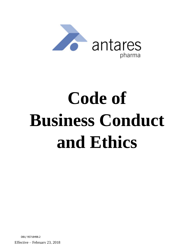

# **Code of Business Conduct and Ethics**

DB1/ 95718498.2

Effective – February 23, 2018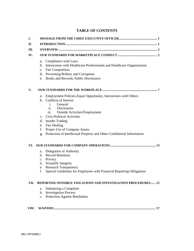## **TABLE OF CONTENTS**

| Compliance with Laws<br>Interactions with Healthcare Professionals and Healthcare Organizations<br>c. Fair Competition<br>d. Preventing Bribery and Corruption<br>e. Books and Records; Public Disclosures                                                                  |
|-----------------------------------------------------------------------------------------------------------------------------------------------------------------------------------------------------------------------------------------------------------------------------|
|                                                                                                                                                                                                                                                                             |
| Employment Policies-Equal Opportunity, Interactions with Others<br>b. Conflicts of Interest<br>General<br><b>Disclosures</b><br><b>Outside Activities/Employment</b><br>c. Civic/Political Activities<br>d. Insider Trading<br>Fair Dealing<br>Proper Use of Company Assets |
| Protection of Intellectual Property and Other Confidential Information                                                                                                                                                                                                      |
| Delegation of Authority                                                                                                                                                                                                                                                     |
| b. Record Retention<br>c. Privacy<br>d. Scientific Integrity<br><b>Research Transparency</b><br>Special Guidelines for Employees with Financial Reporting Obligations                                                                                                       |
| REPORTING POSSIBLE VIOLATIONS AND INVESTIGATION PROCEDURES 15                                                                                                                                                                                                               |
| Submitting a Complaint<br><b>Investigation Process</b><br>Protection Against Retaliation                                                                                                                                                                                    |
|                                                                                                                                                                                                                                                                             |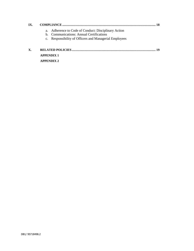| IX. |                                                                                                                                                            |
|-----|------------------------------------------------------------------------------------------------------------------------------------------------------------|
|     | a. Adherence to Code of Conduct: Disciplinary Action<br>b. Communications: Annual Certifications<br>c. Responsibility of Officers and Managerial Employees |
| Х.  | 10<br><b>APPENDIX 1</b>                                                                                                                                    |

 **APPENDIX 2**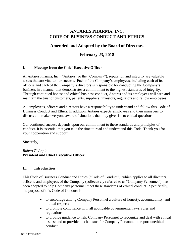# **ANTARES PHARMA, INC. CODE OF BUSINESS CONDUCT AND ETHICS**

# **Amended and Adopted by the Board of Directors**

## **February 23, 2018**

## **I. Message from the Chief Executive Officer**

At Antares Pharma, Inc. ("Antares" or the "Company"), reputation and integrity are valuable assets that are vital to our success. Each of the Company's employees, including each of its officers and each of the Company's directors is responsible for conducting the Company's business in a manner that demonstrates a commitment to the highest standards of integrity. Through continued honest and ethical business conduct, Antares and its employees will earn and maintain the trust of customers, patients, suppliers, investors, regulators and fellow employees.

All employees, officers and directors have a responsibility to understand and follow this Code of Business Conduct and Ethics. In addition, Antares expects employees and their managers to discuss and make everyone aware of situations that may give rise to ethical questions.

Our continued success depends upon our commitment to these standards and principles of conduct. It is essential that you take the time to read and understand this Code. Thank you for your cooperation and support.

Sincerely,

*Robert F. Apple* **President and Chief Executive Officer**

## **II. Introduction**

This Code of Business Conduct and Ethics ("Code of Conduct"), which applies to all directors, officers, and employees of the Company (collectively referred to as "Company Personnel"), has been adopted to help Company personnel meet these standards of ethical conduct. Specifically, the purpose of this Code of Conduct is:

- to encourage among Company Personnel a culture of honesty, accountability, and mutual respect;
- to promote compliance with all applicable governmental laws, rules and regulations
- to provide guidance to help Company Personnel to recognize and deal with ethical issues; and to provide mechanisms for Company Personnel to report unethical conduct.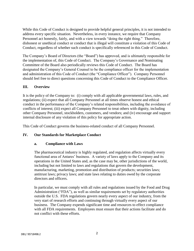While this Code of Conduct is designed to provide helpful general principles, it is not intended to address every specific situation. Nevertheless, in every instance, we require that Company Personnel act honestly, fairly, and with a view towards "doing the right thing." Therefore, dishonest or unethical conduct or conduct that is illegal will constitute a violation of this Code of Conduct, regardless of whether such conduct is specifically referenced in this Code of Conduct.

The Company's Board of Directors (the "Board") has approved, and is ultimately responsible for the implementation of, this Code of Conduct. The Company's Governance and Nominating Committee of the Board also periodically reviews this Code of Conduct. The Board has designated the Company's General Counsel to be the compliance officer for the implementation and administration of this Code of Conduct (the "Compliance Officer"). Company Personnel should feel free to direct questions concerning this Code of Conduct to the Compliance Officer.

## **III. Overview**

It is the policy of the Company to: (i) comply with all applicable governmental laws, rules, and regulations; (ii) expect that all Company Personnel at all times observe honest and ethical conduct in the performance of the Company's related responsibilities, including the avoidance of conflicts of interest; (iii) expect all Company Personnel to treat others with dignity, including other Company Personnel, stockholders, customers, and vendors; and (iv) encourage and support internal disclosure of any violation of this policy for appropriate action.

This Code of Conduct governs the business-related conduct of all Company Personnel.

## **IV. Our Standards for Marketplace Conduct**

#### **a. Compliance with Laws**

The pharmaceutical industry is highly regulated, and regulation affects virtually every functional area of Antares' business. A variety of laws apply to the Company and its operations in the United States and, as the case may be, other jurisdictions of the world, including but not limited to laws and regulations that govern the development, manufacturing, marketing, promotion and distribution of products; securities laws; antitrust laws; privacy laws; and state laws relating to duties owed by the corporate directors and officers.

In particular, we must comply with all rules and regulations issued by the Food and Drug Administration ("FDA"), as well as similar requirements set by regulatory authorities outside the U.S. FDA regulations govern nearly every aspect of our industry, from the very start of research efforts and continuing through virtually every aspect of our business. The Company expends significant time and resources to effect compliance with all FDA requirements. Employees must ensure that their actions facilitate and do not conflict with these efforts.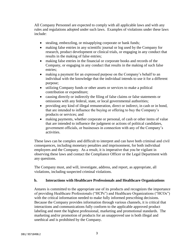All Company Personnel are expected to comply with all applicable laws and with any rules and regulations adopted under such laws. Examples of violations under these laws include:

- stealing, embezzling, or misapplying corporate or bank funds;
- making false entries in any scientific journal or log used by the Company for research, product development or clinical trials, or engaging in any conduct that results in the making of false entries;
- making false entries in the financial or corporate books and records of the Company, or engaging in any conduct that results in the making of such false entries;
- making a payment for an expressed purpose on the Company's behalf to an individual with the knowledge that the individual intends to use it for a different purpose;
- utilizing Company funds or other assets or services to make a political contribution or expenditure;
- causing directly or indirectly the filing of false claims or false statements or omissions with any federal, state, or local governmental authorities;
- providing any kind of illegal remuneration, direct or indirect, in cash or in bond, that are intended to influence the buying or offering to buy the Company's products or services; and
- making payments, whether corporate or personal, of cash or other items of value that are intended to influence the judgment or actions of political candidates, government officials, or businesses in connection with any of the Company's activities.

These laws can be complex and difficult to interpret and can have both criminal and civil consequences, including monetary penalties and imprisonment, for both individual employees and the Company. As a result, it is imperative that you be vigilant in observing these laws and contact the Compliance Officer or the Legal Department with any questions.

The Company must, and will, investigate, address, and report, as appropriate, all violations, including suspected criminal violations.

## **b. Interactions with Healthcare Professionals and Healthcare Organizations**

Antares is committed to the appropriate use of its products and recognizes the importance of providing Healthcare Professionals ("HCPs") and Healthcare Organizations ("HCOs") with the critical information needed to make fully informed prescribing decisions. Because the Company provides information through various channels, it is critical that interactions and communications fully conform to the applicable approved product labeling and meet the highest professional, marketing and promotional standards. The marketing and/or promotion of products for an unapproved use is both illegal and unethical and is prohibited by the Company.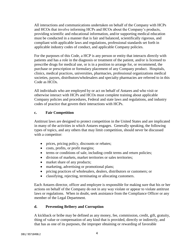All interactions and communications undertaken on behalf of the Company with HCPs and HCOs that involve informing HCPs and HCOs about the Company's products, providing scientific and educational information, and/or supporting medical education must be conducted in a manner that is fair and balanced, scientifically rigorous, and compliant with applicable laws and regulations, professional standards set forth in applicable industry codes of conduct, and applicable Company policies.

For the purposes of this Code, a HCP is any person or entity that interacts directly with patients and has a role in the diagnosis or treatment of the patient, and/or is licensed to prescribe drugs for medical use, or is in a position to arrange for, or recommend, the purchase or prescription or formulary placement of any Company product. Hospitals, clinics, medical practices, universities, pharmacies, professional organizations medical societies, payors, distributors/wholesalers and specialty pharmacies are referred to in this Code as HCOs.

All individuals who are employed by or act on behalf of Antares and who visit or otherwise interact with HCPs and HCOs must complete training about applicable Company policies and procedures, Federal and state laws and regulations, and industry codes of practice that govern their interactions with HCPs.

## **c. Fair Competition**

Antitrust laws are designed to protect competition in the United States and are implicated in many of the activities in which Antares engages. Generally speaking, the following types of topics, and any others that may limit competition, should never be discussed with a competitor:

- prices, pricing policy, discounts or rebates;
- costs, profits, or profit margins;
- terms or conditions of sale, including credit terms and return policies;
- division of markets, market territories or sales territories;
- market share of any products;
- marketing, advertising or promotional plans;
- pricing practices of wholesalers, dealers, distributors or customers; or
- classifying, rejecting, terminating or allocating customers.

Each Antares director, officer and employee is responsible for making sure that his or her actions on behalf of the Company do not in any way violate or appear to violate antitrust laws or regulations. When in doubt, seek assistance from the Compliance Officer or any member of the Legal Department.

## **d. Preventing Bribery and Corruption**

A kickback or bribe may be defined as any money, fee, commission, credit, gift, gratuity, thing of value or compensation of any kind that is provided, directly or indirectly, and that has as one of its purposes, the improper obtaining or rewarding of favorable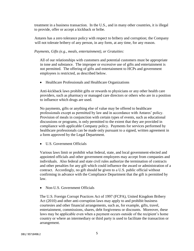treatment in a business transaction. In the U.S., and in many other countries, it is illegal to provide, offer or accept a kickback or bribe.

Antares has a zero tolerance policy with respect to bribery and corruption; the Company will not tolerate bribery of any person, in any form, at any time, for any reason.

*Payments, Gifts (e.g., meals, entertainment), or Gratuities:*

All of our relationships with customers and potential customers must be appropriate in tone and substance. The improper or excessive use of gifts and entertainment is not permitted. The offering of gifts and entertainment to HCPs and government employees is restricted, as described below.

• Healthcare Professionals and Healthcare Organizations

Anti-kickback laws prohibit gifts or rewards to physicians or any other health care providers, such as pharmacy or managed care directors or others who are in a position to influence which drugs are used.

No payments, gifts or anything else of value may be offered to healthcare professionals except as permitted by law and in accordance with Antares' policy. Provision of meals in conjunction with certain types of events, such as educational discussions or programs, is only permitted to the extent that they are provided in compliance with applicable Company policy. Payments for services performed by healthcare professionals can be made only pursuant to a signed, written agreement in a form approved by the Legal Department.

U.S. Government Officials

Various laws limit or prohibit what federal, state, and local government-elected and appointed officials and other government employees may accept from companies and individuals. Also federal and state civil rules authorize the termination of contracts and other penalties for any gift which could influence the award or administration of a contract. Accordingly, no gift should be given to a U.S. public official without confirming in advance with the Compliance Department that the gift is permitted by law.

• Non-U.S. Government Officials

The U.S. Foreign Corrupt Practices Act of 1997 (FCPA), United Kingdom Bribery Act (2010) and other anti-corruption laws may apply to and prohibit business courtesies and other financial arrangements, such as, for example, gifts, travel, entertainment, commissions, shares, debt forgiveness or discounts. Moreover, these laws may be applicable even when a payment occurs outside of the recipient's home country or where an intermediary or third party is used to facilitate the transaction or arrangement.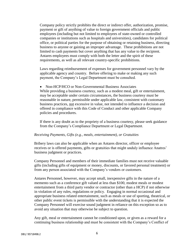Company policy strictly prohibits the direct or indirect offer, authorization, promise, payment or gift of anything of value to foreign government officials and public employees (including but not limited to employees of state-owned or controlled companies or institutions such as hospitals and universities), candidates for political office, or political parties for the purpose of obtaining or retaining business, directing business to anyone or gaining an improper advantage. These prohibitions are not limited to cash payments but cover anything that has any value to the recipient. Antares employees must comply with both the letter and the spirit of these requirements, as well as all relevant country-specific prohibitions.

Laws regarding reimbursement of expenses for government personnel vary by the applicable agency and country. Before offering to make or making any such payment, the Company's Legal Department must be consulted.

• Non-HCP/HCO or Non-Governmental Business Associates While providing a business courtesy, such as a modest meal, gift or entertainment, may be acceptable under certain circumstances, the business courtesy must be reasonable in nature, permissible under applicable law, consistent with customary business practices, not excessive in value, not intended to influence a decision and offered in compliance with this Code of Conduct and other applicable Company policies and procedures.

If there is any doubt as to the propriety of a business courtesy, please seek guidance from the Company's Compliance Department or Legal Department.

#### *Receiving Payments, Gifts (e.g., meals, entertainment), or Gratuities*

Bribery laws can also be applicable when an Antares director, officer or employee receives or is offered payments, gifts or gratuities that might unduly influence Anatres' business judgment or practices.

Company Personnel and members of their immediate families must not receive valuable gifts (including gifts of equipment or money, discounts, or favored personal treatment) or from any person associated with the Company's vendors or customers.

Antares Personnel, however, may accept small, inexpensive gifts in the nature of a memento such as a conference gift valued at less than \$100, modest meals or modest entertainment from a third party vendor or contractor (other than a HCP) if not otherwise in violation of any rules, regulations or policy. Engaging in normal occasional and appropriate business related entertainment, such as meals or use of sporting, theatrical, or other public event tickets is permissible with the understanding that it is expected the Company Personnel will exercise sound judgment in reliance on this exception so as to avoid any situation that may otherwise be subject to question.

Any gift, meal or entertainment cannot be conditioned upon, or given as a reward for a continuing business relationship and must be consistent with the Company's Conflict of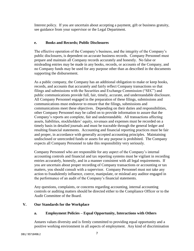Interest policy. If you are uncertain about accepting a payment, gift or business gratuity, see guidance from your supervisor or the Legal Department.

## **e. Books and Records; Public Disclosures**

The effective operation of the Company's business, and the integrity of the Company's public disclosures, is dependent on accurate business records. Company Personnel must prepare and maintain all Company records accurately and honestly. No false or misleading entries may be made in any books, records, or accounts of the Company, and no Company funds may be used for any purpose other than as described in the documents supporting the disbursement.

As a public company, the Company has an additional obligation to make or keep books, records, and accounts that accurately and fairly reflect Company transactions so that filings and submissions with the Securities and Exchange Commission ("SEC") and public communications provide full, fair, timely, accurate, and understandable disclosure. All Company Personnel engaged in the preparation of these filings, submissions and communications must endeavor to ensure that the filings, submissions and communications meet these objectives. Depending on their duties and responsibilities, other Company Personnel may be called on to provide information to assure that the Company's reports are complete, fair and understandable. All transactions affecting assets, liabilities, stockholders' equity, revenues and expenses must be recorded on a timely basis in detailed journals and must be traceable through the general ledger and resulting financial statements. Accounting and financial reporting practices must be fair and proper, in accordance with generally accepted accounting principles. Maintaining undisclosed or unrecorded funds or assets for any purpose is prohibited. The Company expects all Company Personnel to take this responsibility very seriously.

Company Personnel who are responsible for any aspect of the Company's internal accounting controls and financial and tax reporting systems must be vigilant in recording entries accurately, honestly, and in a manner consistent with all legal requirements. If you are uncertain about proper recording of Company transactions or accounting or tax matters, you should consult with a supervisor. Company Personnel must not take any action to fraudulently influence, coerce, manipulate, or mislead any auditor engaged in the performance of an audit of the Company's financial statements.

Any questions, complaints, or concerns regarding accounting, internal accounting controls or auditing matters should be directed either to the Compliance Officer or to the Audit Committee of the Board.

## **V. Our Standards for the Workplace**

## **a. Employment Policies – Equal Opportunity, Interactions with Others**

Antares values diversity and is firmly committed to providing equal opportunity and a positive working environment in all aspects of employment. Any kind of discrimination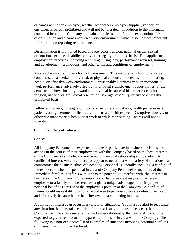or harassment of an employee, whether by another employee, supplier, vendor, or customer, is strictly prohibited and will not be tolerated. In addition to the information contained herein, the Company maintains policies setting forth its expectations for nondiscrimination and a harassment-free work environment, which also includes important information on reporting requirements.

Discrimination is prohibited based on race, color, religion, national origin, sexual orientation, sex, age, disability or any other legally prohibited basis. This applies to all employment practices, including recruiting, hiring, pay, performance reviews, training and development, promotions, and other terms and conditions of employment.

Antares does not permit any form of harassment. This includes any form of abusive conduct, such as verbal, non-verbal, or physical conduct, that creates an intimidating, hostile, or offensive work environment; unreasonably interferes with an individuals' work performance; adversely affects an individual's employment opportunities; or that demeans or shows hostility toward an individual because of his or her race, color, religion, national origin, sexual orientation, sex, age, disability, or any other legally prohibited basis.

Fellow employees, colleagues, customers, vendors, competitors, health professionals, patients, and government officials are to be treated with respect. Disruptive, abusive, or otherwise inappropriate behavior at work or while representing Antares will not be tolerated.

#### **b. Conflicts of Interest**

#### *General*

All Company Personnel are expected to make or participate in business decisions and actions in the course of their employment with the Company based on the best interests of the Company as a whole, and not based on personal relationships or benefits. A conflict of interest, which can occur or appear to occur in a wide variety of situations, can compromise the business ethics of Company Personnel. Generally speaking, a conflict of interest occurs when the personal interest of Company Personnel or members of their immediate families interferes with, or has the potential to interfere with, the interests or business of the Company. For example, a conflict of interest may occur where an employee or a family member receives a gift, a unique advantage, or an improper personal benefit as a result of the employee's position at the Company. A conflict of interest could make it difficult for an employee to perform corporate duties objectively and effectively because he or she is involved in a competing interest.

A conflict of interest can occur in a variety of situations. You must be alert to recognize any situation that may raise conflict of interest issues and must disclose to the Compliance Officer any material transaction or relationship that reasonably could be expected to give rise to actual or apparent conflicts of interest with the Company. The following is a non-exhaustive list of examples of situations involving potential conflicts of interest that should be disclosed: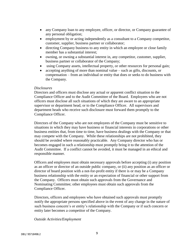- any Company loan to any employee, officer, or director, or Company guarantee of any personal obligation;
- employment by or acting independently as a consultant to a Company competitor, customer, supplier, business partner or collaborator;
- directing Company business to any entity in which an employee or close family member has a substantial interest;
- owning, or owning a substantial interest in, any competitor, customer, supplier, business partner or collaborator of the Company;
- using Company assets, intellectual property, or other resources for personal gain;
- accepting anything of more than nominal value such as gifts, discounts, or compensation – from an individual or entity that does or seeks to do business with the Company.

#### *Disclosures*

Directors and officers must disclose any actual or apparent conflict situation to the Compliance Officer and to the Audit Committee of the Board. Employees who are not officers must disclose all such situations of which they are aware to an appropriate supervisor or department head, or to the Compliance Officer. All supervisors and department heads who receive such disclosure must forward them promptly to the Compliance Officer.

Directors of the Company who are not employees of the Company must be sensitive to situations in which they may have business or financial interests in corporations or other business entities that, from time to time, have business dealings with the Company or that may compete with the Company. While these relationships are not prohibited, they should be avoided where reasonably practicable. Any Company director who has or becomes engaged in such a relationship must promptly bring it to the attention of the Audit Committee. If a conflict cannot be avoided, it must be managed in an ethical and responsible manner.

Officers and employees must obtain necessary approvals before accepting (i) any position as an officer or director of an outside public company, or (ii) any position as an officer or director of board position with a not-for-profit entity if there is or may be a Company business relationship with the entity or an expectation of financial or other support from the Company. Officers must obtain such approvals from the Governance and Nominating Committee; other employees must obtain such approvals from the Compliance Officer.

Directors, officers and employees who have obtained such approvals must promptly notify the appropriate persons specified above in the event of any change in the nature of such business concern's or entity's relationship with the Company or if such concern or entity later becomes a competitor of the Company.

#### *Outside Activities/Employment*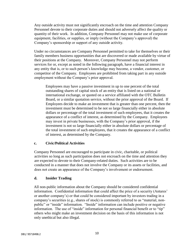Any outside activity must not significantly encroach on the time and attention Company Personnel devote to their corporate duties and should not adversely affect the quality or quantity of their work. In addition, Company Personnel may not make use of corporate equipment, facilities, or supplies, or imply (without the Company's approval) the Company's sponsorship or support of any outside activity.

Under no circumstances are Company Personnel permitted to take for themselves or their family members business opportunities that are discovered or made available by virtue of their positions at the Company. Moreover, Company Personnel may not perform services for or, except as noted in the following paragraph, have a financial interest in any entity that is, or to such person's knowledge may become, a vendor, customer, or competitor of the Company. Employees are prohibited from taking part in any outside employment without the Company's prior approval.

Employees may have a passive investment in up to one percent of the total outstanding shares of capital stock of an entity that is listed on a national or international exchange, or quoted on a service affiliated with the OTC Bulletin Board, or a similar quotation service, without the prior approval of the Board. If Employees decide to make an investment that is greater than one percent, then the investment must be determined to be not so large financially either in absolute dollars or percentage of the total investment of such employees, that it creates the appearance of a conflict of interest, as determined by the Company. Employees may invest in private businesses, with the Company's prior approval, if the investment is not so large financially either in absolute dollars or percentage of the total investment of such employees, that it creates the appearance of a conflict of interest, as determined by the Company.

## **c. Civic/Political Activities**

Company Personnel are encouraged to participate in civic, charitable, or political activities so long as such participation does not encroach on the time and attention they are expected to devote to their Company-related duties. Such activities are to be conducted in a manner that does not involve the Company or its assets or facilities, and does not create an appearance of the Company's involvement or endorsement.

## **d. Insider Trading**

All non-public information about the Company should be considered confidential information. Confidential information that could affect the price of a security (Antares' or another company's) or that could be considered important by investors trading in a company's securities (e.g., shares of stock) is commonly referred to as "material, nonpublic" or "inside" information. "Inside" information can include positive or negative information. The use of "inside" information for personal financial benefit or to "tip" others who might make an investment decision on the basis of this information is not only unethical but also illegal.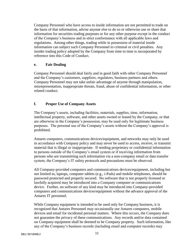Company Personnel who have access to inside information are not permitted to trade on the basis of that information, advise anyone else to do so or otherwise use or share that information for securities trading purposes or for any other purpose except in the conduct of the Company's business and in strict conformance with all applicable laws and regulations. Among other things, trading while in possession of material inside information can subject such Company Personnel to criminal or civil penalties. Any insider trading policy adopted by the Company from time to time is incorporated by reference into this Code of Conduct.

## **e. Fair Dealing**

Company Personnel should deal fairly and in good faith with other Company Personnel and the Company's customers, suppliers, regulators, business partners and others. Company Personnel may not take unfair advantage of anyone through manipulation, misrepresentation, inappropriate threats, fraud, abuse of confidential information, or other related conduct.

## **f. Proper Use of Company Assets**

The Company's assets, including facilities, materials, supplies, time, information, intellectual property, software, and other assets owned or leased by the Company, or that are otherwise in the Company's possession, may be used only for legitimate business purposes. The personal use of the Company's assets without the Company's approval is prohibited.

Antares computers, communications devices/equipment, and networks may only be used in accordance with Company policy and may never be used to access, receive, or transmit material that is illegal or inappropriate. If sending proprietary or confidential information to persons outside of the Company's email system or if receiving information from persons who are transmitting such information via a non-company email or data transfer system, the Company's IT safety protocols and precautions must be observed.

All Company-provided computers and communications devices/equipment, including but not limited to, laptops, computer tablets (e.g., i-Pads) and mobile telephones, should be password protected and properly secured. No software that is not properly licensed or lawfully acquired may be introduced into a Company computer or communications device. Further, no software of any kind may be introduced into Company-provided computers and communications devices/equipment without the advance approval of the Antares IT personnel.

While Company equipment is intended to be used only for Company business, it is recognized that Antares Personnel may occasionally use Antares computers, mobile devices and email for incidental personal matters. Where this occurs, the Company does not guarantee the privacy of these communications. Any records and/or data contained on Company equipment shall be deemed to be Company property. Such information, like any of the Company's business records (including email and computer records) may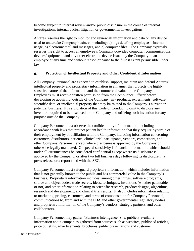become subject to internal review and/or public disclosure in the course of internal investigations, internal audits, litigation or governmental investigations.

Antares reserves the right to monitor and review all information and data on any device used to undertake Company business, including: a) logs detailing employees' Internet usage, b) electronic mail and messages, and c) computer files. The Company expressly reserves the right to access an employee's Company-provided computer, communications devices/equipment, and any other electronic device issued by the Company to an employee at any time and without reason or cause to the fullest extent permissible under law.

#### **g. Protection of Intellectual Property and Other Confidential Information**

All Company Personnel are expected to establish, support, maintain and defend Antares' intellectual property and proprietary information in a manner that protects the highly sensitive nature of the information and the commercial value to the Company. Employees must receive written permission from the Compliance Officer before developing or acquiring, outside of the Company, any products, experiments, software, scientific data, or intellectual property that may be related to the Company's current or potential business. It is a violation of this Code of Conduct to omit to disclose any invention required to be disclosed to the Company and utilizing such invention for any purpose outside the Company.

Company Personnel must observe the confidentiality of information, including in accordance with laws that protect patient health information that they acquire by virtue of their employment by or affiliation with the Company, including information concerning customers, distributors, patients, clinical trial participants, vendors, competitors, and other Company Personnel, except where disclosure is approved by the Company or otherwise legally mandated. Of special sensitivity is financial information, which should under all circumstances be considered confidential except where its disclosure is approved by the Company, or after two full business days following its disclosure in a press release or a report filed with the SEC.

Company Personnel must safeguard proprietary information, which includes information that is not generally known to the public and has commercial value in the Company's business. Proprietary information includes, among other things, software programs, source and object codes, trade secrets, ideas, techniques, inventions (whether patentable or not) and other information relating to scientific research, product designs, algorithms, research and development, and clinical trial results. It also includes information relating to marketing, pricing, customers, and terms of compensation for Company Personnel, communications to, from and with the FDA and other governmental regulatory bodies and proprietary information of the Company's vendors, strategic partners, and other collaborators.

Company Personnel may gather "Business Intelligence" (i.e. publicly available information about companies gathered from sources such as websites, published articles, price bulletins, advertisements, brochures, public presentations and customer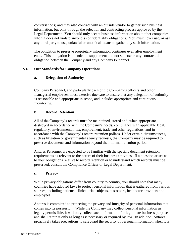conversations) and may also contract with an outside vendor to gather such business information, but only through the selection and contracting process approved by the Legal Department. You should only accept business information about other companies when it does not violate anyone's confidentiality obligations. You must never use, or ask any third party to use, unlawful or unethical means to gather any such information.

The obligation to preserve proprietary information continues even after employment ends. This obligation is intended to supplement and not supersede any contractual obligation between the Company and any Company Personnel.

## **VI. Our Standards for Company Operations**

## **a. Delegation of Authority**

Company Personnel, and particularly each of the Company's officers and other managerial employees, must exercise due care to ensure that any delegation of authority is reasonable and appropriate in scope, and includes appropriate and continuous monitoring.

## **b. Record Retention**

All of the Company's records must be maintained, stored and, when appropriate, destroyed in accordance with the Company's needs, compliance with applicable legal, regulatory, environmental, tax, employment, trade and other regulations, and in accordance with the Company's record retention polices. Under certain circumstances, such as litigation or governmental agency requests, the Company may be required to preserve documents and information beyond their normal retention period.

Antares Personnel are expected to be familiar with the specific document retention requirements as relevant to the nature of their business activities. If a question arises as to your obligations relative to record retention or to understand which records must be preserved, consult the Compliance Officer or Legal Department.

## **c. Privacy**

While privacy obligations differ from country to country, you should note that many countries have adopted laws to protect personal information that is gathered from various sources, including patients, clinical trial subjects, customers, healthcare providers and employees.

Antares is committed to protecting the privacy and integrity of personal information that comes into its possession. While the Company may collect personal information as legally permissible, it will only collect such information for legitimate business purposes and shall retain it only as long as is necessary or required by law. In addition, Antares proactively takes precautions to safeguard the security of personal information when it is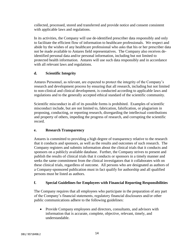collected, processed, stored and transferred and provide notice and consent consistent with applicable laws and regulations.

In its activities, the Company will use de-identified prescriber data responsibly and only to facilitate the efficient flow of information to healthcare professionals. We respect and abide by the wishes of any healthcare professional who asks that his or her prescriber data not be made available to Antares field representatives. The Company also receives deidentified personal data and/or personal information, including but not limited to protected health information. Antares will use such data responsibly and in accordance with all relevant laws and regulations.

## **d. Scientific Integrity**

Antares Personnel, as relevant, are expected to protect the integrity of the Company's research and development process by ensuring that all research, including but not limited to non-clinical and clinical development, is conducted according to applicable laws and regulations and to the generally accepted ethical standard of the scientific community.

Scientific misconduct in all of its possible forms is prohibited. Examples of scientific misconduct include, but are not limited to, fabrication, falsification, or plagiarism in proposing, conducting, or reporting research, disregarding the intellectual contributions and property of others, impeding the progress of research, and corrupting the scientific record.

## **e. Research Transparency**

Antares is committed to providing a high degree of transparency relative to the research that it conducts and sponsors, as well as the results and outcomes of such research. The Company registers and submits information about the clinical trials that it conducts and sponsors on a publicly available database. Further, the Company strives to present and publish the results of clinical trials that it conducts or sponsors in a timely manner and seeks the same commitment from the clinical investigators that it collaborates with on these clinical trials, regardless of outcome. All persons who are designated as authors of a Company-sponsored publication must in fact qualify for authorship and all qualified persons must be listed as authors.

## **f. Special Guidelines for Employees with Financial Reporting Responsibilities**

The Company requires that all employees who participate in the preparation of any part of the Company's financial statements, regulatory financial disclosures and/or other public communications adhere to the following guidelines:

• Provide Company employees and directors, consultants, and advisors with information that is accurate, complete, objective, relevant, timely, and understandable.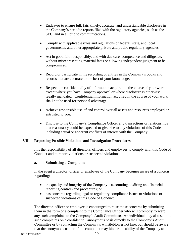- Endeavor to ensure full, fair, timely, accurate, and understandable disclosure in the Company's periodic reports filed with the regulatory agencies, such as the SEC, and in all public communications.
- Comply with applicable rules and regulations of federal, state, and local governments, and other appropriate private and public regulatory agencies.
- Act in good faith, responsibly, and with due care, competence and diligence, without misrepresenting material facts or allowing independent judgment to be compromised.
- Record or participate in the recording of entries in the Company's books and records that are accurate to the best of your knowledge.
- Respect the confidentiality of information acquired in the course of your work except where you have Company approval or where disclosure is otherwise legally mandated. Confidential information acquired in the course of your work shall not be used for personal advantage.
- Achieve responsible use of and control over all assets and resources employed or entrusted to you.
- Disclose to the Company's Compliance Officer any transactions or relationships that reasonably could be expected to give rise to any violations of this Code, including actual or apparent conflicts of interest with the Company.

## **VII. Reporting Possible Violations and Investigation Procedures**

It is the responsibility of all directors, officers and employees to comply with this Code of Conduct and to report violations or suspected violations.

## **a. Submitting a Complaint**

In the event a director, officer or employee of the Company becomes aware of a concern regarding:

- the quality and integrity of the Company's accounting, auditing and financial reporting controls and procedures; or
- has concerns regarding legal or regulatory compliance issues or violations or suspected violations of this Code of Conduct.

The director, officer or employee is encouraged to raise those concerns by submitting them in the form of a complaint to the Compliance Officer who will promptly forward any such complaints to the Company's Audit Committee. An individual may also submit such complaints on a confidential, anonymous basis directly to the Company's Audit Committee or by contacting the Company's whistleblower hot line, but should be aware that the anonymous nature of the complaint may hinder the ability of the Company to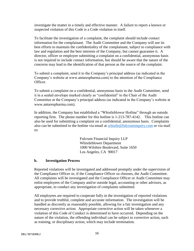investigate the matter in a timely and effective manner. A failure to report a known or suspected violation of this Code is a Code violation in itself.

To facilitate the investigation of a complaint, the complaint should include contact information for the complainant. The Audit Committee and the Company will use its best efforts to maintain the confidentiality of the complainant, subject to compliance with law and regulation and the best interests of the Company, but cannot guarantee it. A director, officer or employee submitting a complaint on a confidential, anonymous basis is not required to include contact information, but should be aware that the nature of the concerns may lead to the identification of that person as the source of the complaint.

To submit a complaint, send it to the Company's principal address (as indicated in the Company's website at www.antarespharma.com) to the attention of the Compliance Officer.

To submit a complaint on a confidential, anonymous basis to the Audit Committee, send it in a sealed envelope marked clearly as "confidential" to the Chair of the Audit Committee at the Company's principal address (as indicated in the Company's website at www.antarespharma.com).

In addition, the Company has established a "Whistleblower Hotline" through an outside reporting firm. The phone number for this hotline is 1-213-787-4142. This hotline can also be used for submitting a complaint on a confidential, anonymous basis. Complaints also can be submitted to the hotline via email at [whistle@fulcruminquiry.com](mailto:whistle@fulcruminquiry.com) or via mail to:

> Fulcrum Financial Inquiry LLP Whistleblower Department 1000 Wilshire Boulevard, Suite 1650 Los Angeles, CA 90017

#### **b. Investigation Process**

Reported violations will be investigated and addressed promptly under the supervision of the Compliance Officer or, if the Compliance Officer so chooses, the Audit Committee. All complaints will be investigated and the Compliance Officer or Audit Committee may enlist employees of the Company and/or outside legal, accounting or other advisors, as appropriate, to conduct any investigation of complaints submitted.

All employees are required to cooperate fully in the investigation of reported violations and to provide truthful, complete and accurate information. The investigation will be handled as discreetly as reasonably possible, allowing for a fair investigation and any necessary corrective action. Appropriate corrective action will be taken whenever a violation of this Code of Conduct is determined to have occurred. Depending on the nature of the violation, the offending individual can be subject to corrective action, such as training, or disciplinary action, which may include termination.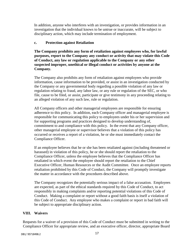In addition, anyone who interferes with an investigation, or provides information in an investigation that the individual knows to be untrue or inaccurate, will be subject to disciplinary action, which may include termination of employment.

## **c. Protection against Retaliation**

**The Company prohibits any form of retaliation against employees who, for lawful purposes, report to the Company any conduct or activity that may violate this Code of Conduct, any law or regulation applicable to the Company or any other suspected improper, unethical or illegal conduct or activities by anyone at the Company.**

The Company also prohibits any form of retaliation against employees who provide information, cause information to be provided, or assist in an investigation conducted by the Company or any governmental body regarding a possible violation of any law or regulation relating to fraud, any labor law, or any rule or regulation of the SEC, or who file, cause to be filed, or assist, participate or give testimony in any proceeding relating to an alleged violation of any such law, rule or regulation.

All Company officers and other managerial employees are responsible for ensuring adherence to this policy. In addition, each Company officer and managerial employee is responsible for communicating this policy to employees under his or her supervision and for supporting programs and practices designed to develop understanding of, commitment to and compliance with this policy. In the event that any Company officer, other managerial employee or supervisor believes that a violation of this policy has occurred or receives a report of a violation, he or she must immediately contact the Compliance Officer.

If an employee believes that he or she has been retaliated against (including threatened or harassed) in violation of this policy, he or she should report the retaliation to the Compliance Officer, unless the employee believes that the Compliance Officer has retaliated in which event the employee should report the retaliation to the Chief Executive Officer, Human Resources or the Audit Committee. Once an employee reports retaliation prohibited by this Code of Conduct, the Company will promptly investigate the matter in accordance with the procedures described above.

The Company recognizes the potentially serious impact of a false accusation. Employees are expected, as part of the ethical standards required by this Code of Conduct, to act responsibly in making complaints and/or reporting potential violations of this Code of Conduct. Making a complaint or report without a good faith basis is itself a violation of this Code of Conduct. Any employee who makes a complaint or report in bad faith will be subject to appropriate disciplinary action.

## **VIII. Waivers**

Requests for a waiver of a provision of this Code of Conduct must be submitted in writing to the Compliance Officer for appropriate review, and an executive officer, director, appropriate Board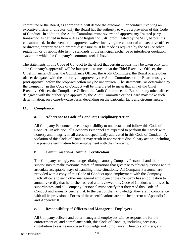committee or the Board, as appropriate, will decide the outcome. For conduct involving an executive officer or director, only the Board has the authority to waive a provision of this Code of Conduct. In addition, the Audit Committee must review and approve any "related party" transaction as defined in Item 404(a) of Regulation S-K, promulgated by the SEC, before it is consummated. In the event of an approved waiver involving the conduct of an executive officer or director, appropriate and prompt disclosure must be made as required by the SEC or other regulation or by applicable listing standards of the principal exchange or interdealer quotation system on which the Company's common stock is listed.

The statements in this Code of Conduct to the effect that certain actions may be taken only with "the Company's approval" will be interpreted to mean that the Chief Executive Officer, the Chief Financial Officer, the Compliance Officer, the Audit Committee, the Board or any other officer delegated with the authority to approve by the Audit Committee or the Board must give prior approval before the proposed action may be undertaken. The statements "as determined by the Company" in this Code of Conduct will be interpreted to mean that any of the Chief Executive Officer, the Compliance Officer, the Audit Committee, the Board or any other officer delegated with the authority to approve by the Audit Committee or the Board may make such determination, on a case-by-case basis, depending on the particular facts and circumstances.

## **IX. Compliance**

## **a. Adherence to Code of Conduct; Disciplinary Action**

All Company Personnel have a responsibility to understand and follow this Code of Conduct. In addition, all Company Personnel are expected to perform their work with honesty and integrity in all areas not specifically addressed in this Code of Conduct. A violation of this Code of Conduct may result in appropriate disciplinary action, including the possible termination from employment with the Company.

## **b. Communications; Annual Certification**

The Company strongly encourages dialogue among Company Personnel and their supervisors to make everyone aware of situations that give rise to ethical questions and to articulate acceptable ways of handling those situations. All Company Personnel are provided with a copy of this Code of Conduct upon employment with the Company. Each officer and each other managerial employee of the Company has an obligation to annually certify that he or she has read and reviewed this Code of Conduct with his or her subordinates, and all Company Personnel must certify that they read this Code of Conduct and annually certify that, to the best of their knowledge, they are in compliance with all its provisions. Forms of these certifications are attached hereto as Appendix I and Appendix II.

## **c. Responsibility of Officers and Managerial Employees**

All Company officers and other managerial employees will be responsible for the enforcement of, and compliance with, this Code of Conduct, including necessary distribution to assure employee knowledge and compliance. Directors, officers, and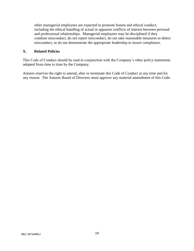other managerial employees are expected to promote honest and ethical conduct, including the ethical handling of actual or apparent conflicts of interest between personal and professional relationships. Managerial employees may be disciplined if they condone misconduct, do not report misconduct, do not take reasonable measures to detect misconduct, or do not demonstrate the appropriate leadership to insure compliance.

## **X. Related Policies**

This Code of Conduct should be read in conjunction with the Company's other policy statements adopted from time to time by the Company.

Antares reserves the right to amend, alter or terminate this Code of Conduct at any time and for any reason. The Antares Board of Directors must approve any material amendment of this Code.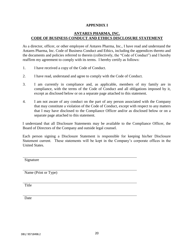## **APPENDIX I**

## **ANTARES PHARMA, INC. CODE OF BUSINESS CONDUCT AND ETHICS DISCLOSURE STATEMENT**

As a director, officer, or other employee of Antares Pharma, Inc., I have read and understand the Antares Pharma, Inc. Code of Business Conduct and Ethics, including the appendices thereto and the documents and policies referred to therein (collectively, the "Code of Conduct") and I hereby reaffirm my agreement to comply with its terms. I hereby certify as follows:

- 1. I have received a copy of the Code of Conduct.
- 2. I have read, understand and agree to comply with the Code of Conduct.
- 3. I am currently in compliance and, as applicable, members of my family are in compliance, with the terms of the Code of Conduct and all obligations imposed by it, except as disclosed below or on a separate page attached to this statement.
- 4. I am not aware of any conduct on the part of any person associated with the Company that may constitute a violation of the Code of Conduct, except with respect to any matters that I may have disclosed to the Compliance Officer and/or as disclosed below or on a separate page attached to this statement.

I understand that all Disclosure Statements may be available to the Compliance Officer, the Board of Directors of the Company and outside legal counsel.

Each person signing a Disclosure Statement is responsible for keeping his/her Disclosure Statement current. These statements will be kept in the Company's corporate offices in the United States.

Signature

Name (Print or Type)

Title

Date